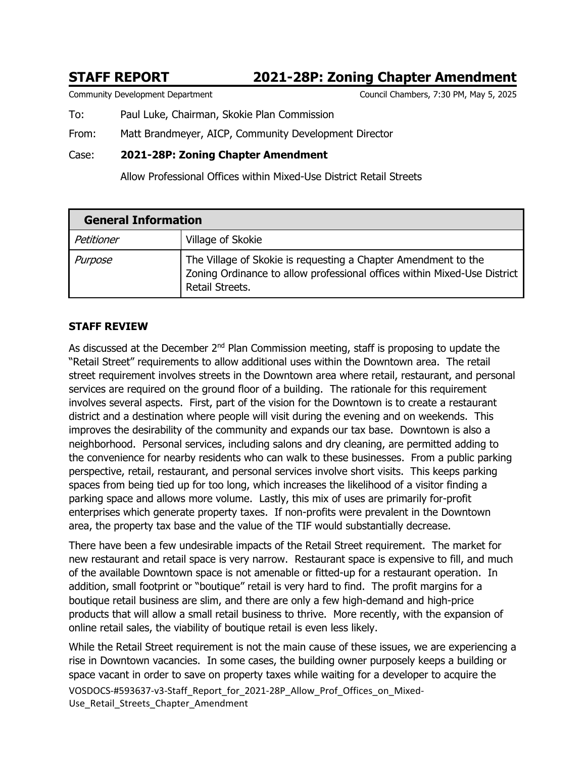# **STAFF REPORT 2021-28P: Zoning Chapter Amendment**

Community Development Department Council Chambers, 7:30 PM, May 5, 2025

To: Paul Luke, Chairman, Skokie Plan Commission

From: Matt Brandmeyer, AICP, Community Development Director

# Case: **2021-28P: Zoning Chapter Amendment**

Allow Professional Offices within Mixed-Use District Retail Streets

| <b>General Information</b> |                                                                                                                                                               |  |  |  |
|----------------------------|---------------------------------------------------------------------------------------------------------------------------------------------------------------|--|--|--|
| Petitioner                 | Village of Skokie                                                                                                                                             |  |  |  |
| Purpose                    | The Village of Skokie is requesting a Chapter Amendment to the<br>Zoning Ordinance to allow professional offices within Mixed-Use District<br>Retail Streets. |  |  |  |

# **STAFF REVIEW**

As discussed at the December  $2<sup>nd</sup>$  Plan Commission meeting, staff is proposing to update the "Retail Street" requirements to allow additional uses within the Downtown area. The retail street requirement involves streets in the Downtown area where retail, restaurant, and personal services are required on the ground floor of a building. The rationale for this requirement involves several aspects. First, part of the vision for the Downtown is to create a restaurant district and a destination where people will visit during the evening and on weekends. This improves the desirability of the community and expands our tax base. Downtown is also a neighborhood. Personal services, including salons and dry cleaning, are permitted adding to the convenience for nearby residents who can walk to these businesses. From a public parking perspective, retail, restaurant, and personal services involve short visits. This keeps parking spaces from being tied up for too long, which increases the likelihood of a visitor finding a parking space and allows more volume. Lastly, this mix of uses are primarily for-profit enterprises which generate property taxes. If non-profits were prevalent in the Downtown area, the property tax base and the value of the TIF would substantially decrease.

There have been a few undesirable impacts of the Retail Street requirement. The market for new restaurant and retail space is very narrow. Restaurant space is expensive to fill, and much of the available Downtown space is not amenable or fitted-up for a restaurant operation. In addition, small footprint or "boutique" retail is very hard to find. The profit margins for a boutique retail business are slim, and there are only a few high-demand and high-price products that will allow a small retail business to thrive. More recently, with the expansion of online retail sales, the viability of boutique retail is even less likely.

VOSDOCS-#593637-v3-Staff\_Report\_for\_2021-28P\_Allow\_Prof\_Offices\_on\_Mixed-Use\_Retail\_Streets\_Chapter\_Amendment While the Retail Street requirement is not the main cause of these issues, we are experiencing a rise in Downtown vacancies. In some cases, the building owner purposely keeps a building or space vacant in order to save on property taxes while waiting for a developer to acquire the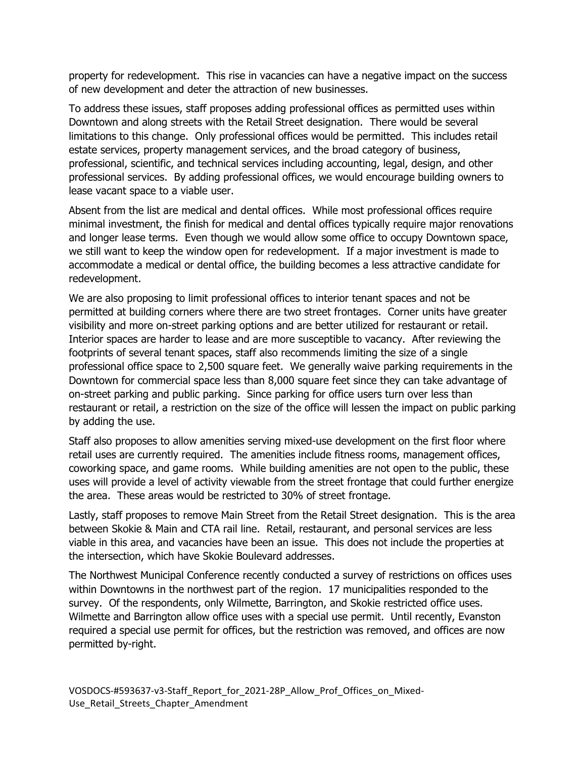property for redevelopment. This rise in vacancies can have a negative impact on the success of new development and deter the attraction of new businesses.

To address these issues, staff proposes adding professional offices as permitted uses within Downtown and along streets with the Retail Street designation. There would be several limitations to this change. Only professional offices would be permitted. This includes retail estate services, property management services, and the broad category of business, professional, scientific, and technical services including accounting, legal, design, and other professional services. By adding professional offices, we would encourage building owners to lease vacant space to a viable user.

Absent from the list are medical and dental offices. While most professional offices require minimal investment, the finish for medical and dental offices typically require major renovations and longer lease terms. Even though we would allow some office to occupy Downtown space, we still want to keep the window open for redevelopment. If a major investment is made to accommodate a medical or dental office, the building becomes a less attractive candidate for redevelopment.

We are also proposing to limit professional offices to interior tenant spaces and not be permitted at building corners where there are two street frontages. Corner units have greater visibility and more on-street parking options and are better utilized for restaurant or retail. Interior spaces are harder to lease and are more susceptible to vacancy. After reviewing the footprints of several tenant spaces, staff also recommends limiting the size of a single professional office space to 2,500 square feet. We generally waive parking requirements in the Downtown for commercial space less than 8,000 square feet since they can take advantage of on-street parking and public parking. Since parking for office users turn over less than restaurant or retail, a restriction on the size of the office will lessen the impact on public parking by adding the use.

Staff also proposes to allow amenities serving mixed-use development on the first floor where retail uses are currently required. The amenities include fitness rooms, management offices, coworking space, and game rooms. While building amenities are not open to the public, these uses will provide a level of activity viewable from the street frontage that could further energize the area. These areas would be restricted to 30% of street frontage.

Lastly, staff proposes to remove Main Street from the Retail Street designation. This is the area between Skokie & Main and CTA rail line. Retail, restaurant, and personal services are less viable in this area, and vacancies have been an issue. This does not include the properties at the intersection, which have Skokie Boulevard addresses.

The Northwest Municipal Conference recently conducted a survey of restrictions on offices uses within Downtowns in the northwest part of the region. 17 municipalities responded to the survey. Of the respondents, only Wilmette, Barrington, and Skokie restricted office uses. Wilmette and Barrington allow office uses with a special use permit. Until recently, Evanston required a special use permit for offices, but the restriction was removed, and offices are now permitted by-right.

VOSDOCS-#593637-v3-Staff\_Report\_for\_2021-28P\_Allow\_Prof\_Offices\_on\_Mixed-Use\_Retail\_Streets\_Chapter\_Amendment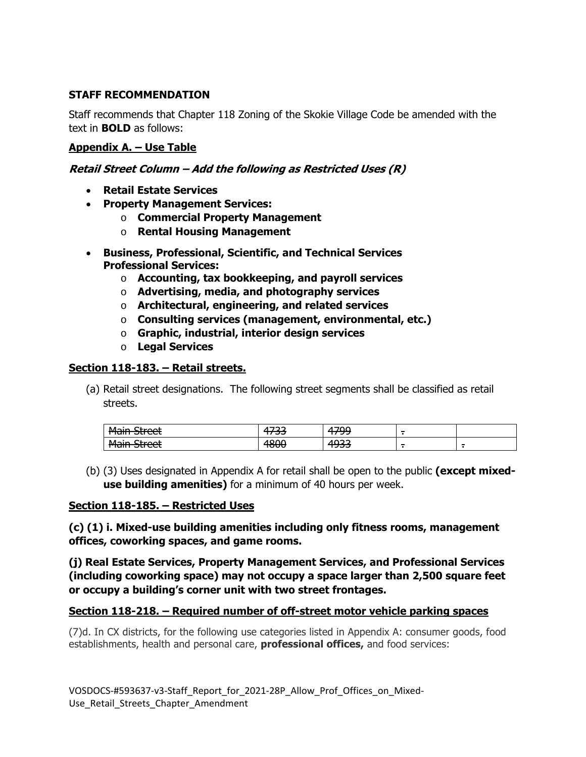# **STAFF RECOMMENDATION**

Staff recommends that Chapter 118 Zoning of the Skokie Village Code be amended with the text in **BOLD** as follows:

## **Appendix A. – Use Table**

### **Retail Street Column – Add the following as Restricted Uses (R)**

- **Retail Estate Services**
- **Property Management Services:** 
	- o **Commercial Property Management**
	- o **Rental Housing Management**
- **Business, Professional, Scientific, and Technical Services Professional Services:** 
	- o **Accounting, tax bookkeeping, and payroll services**
	- o **Advertising, media, and photography services**
	- o **Architectural, engineering, and related services**
	- o **Consulting services (management, environmental, etc.)**
	- o **Graphic, industrial, interior design services**
	- o **Legal Services**

### **Section 118-183. – Retail streets.**

(a) Retail street designations. The following street segments shall be classified as retail streets.

| Main Ctroot<br><del>riam succi</del> | .<br><u>JJ</u><br>'' | 1700<br><b>س س</b> | - |        |
|--------------------------------------|----------------------|--------------------|---|--------|
| Main Ctroot<br><del>riam succi</del> | חחΩ<br>rouu          | 1032<br>. JJJ      | - | $\sim$ |

(b) (3) Uses designated in Appendix A for retail shall be open to the public **(except mixeduse building amenities)** for a minimum of 40 hours per week.

### **Section 118-185. – Restricted Uses**

**(c) (1) i. Mixed-use building amenities including only fitness rooms, management offices, coworking spaces, and game rooms.** 

**(j) Real Estate Services, Property Management Services, and Professional Services (including coworking space) may not occupy a space larger than 2,500 square feet or occupy a building's corner unit with two street frontages.** 

### **Section 118-218. – Required number of off-street motor vehicle parking spaces**

(7)d. In CX districts, for the following use categories listed in Appendix A: consumer goods, food establishments, health and personal care, **professional offices,** and food services:

VOSDOCS-#593637-v3-Staff\_Report\_for\_2021-28P\_Allow\_Prof\_Offices\_on\_Mixed-Use\_Retail\_Streets\_Chapter\_Amendment